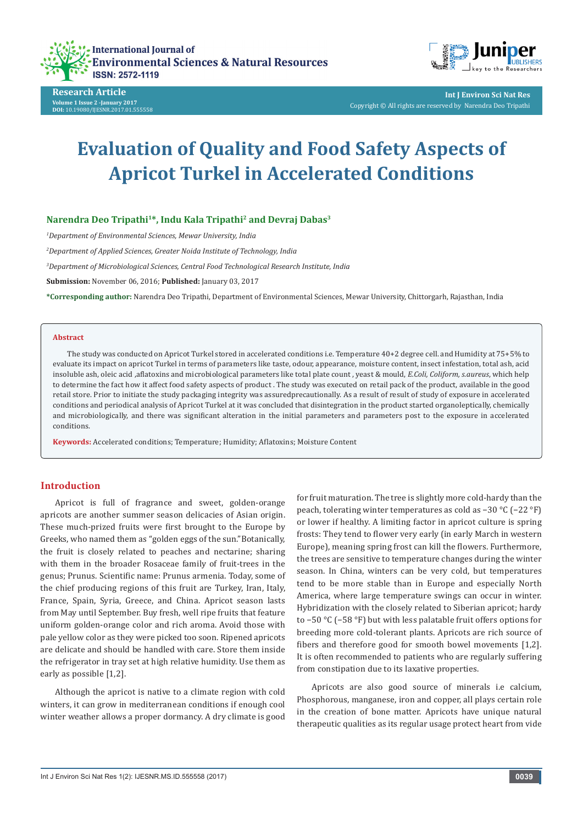





**Int J Environ Sci Nat Res** Copyright © All rights are reserved by Narendra Deo Tripathi

# **Evaluation of Quality and Food Safety Aspects of Apricot Turkel in Accelerated Conditions**

# **Narendra Deo Tripathi1\*, Indu Kala Tripathi2 and Devraj Dabas3**

*1 Department of Environmental Sciences, Mewar University, India* 

*2 Department of Applied Sciences, Greater Noida Institute of Technology, India* 

*3 Department of Microbiological Sciences, Central Food Technological Research Institute, India* 

**Submission:** November 06, 2016; **Published:** January 03, 2017

**\*Corresponding author:** Narendra Deo Tripathi, Department of Environmental Sciences, Mewar University, Chittorgarh, Rajasthan, India

#### **Abstract**

The study was conducted on Apricot Turkel stored in accelerated conditions i.e. Temperature 40+2 degree cell. and Humidity at 75+5% to evaluate its impact on apricot Turkel in terms of parameters like taste, odour, appearance, moisture content, insect infestation, total ash, acid insoluble ash, oleic acid ,aflatoxins and microbiological parameters like total plate count , yeast & mould, *E.Coli, Coliform, s.aureus*, which help to determine the fact how it affect food safety aspects of product . The study was executed on retail pack of the product, available in the good retail store. Prior to initiate the study packaging integrity was assuredprecautionally. As a result of result of study of exposure in accelerated conditions and periodical analysis of Apricot Turkel at it was concluded that disintegration in the product started organoleptically, chemically and microbiologically, and there was significant alteration in the initial parameters and parameters post to the exposure in accelerated conditions.

**Keywords:** Accelerated conditions; Temperature; Humidity; Aflatoxins; Moisture Content

# **Introduction**

Apricot is full of fragrance and sweet, golden-orange apricots are another summer season delicacies of Asian origin. These much-prized fruits were first brought to the Europe by Greeks, who named them as "golden eggs of the sun."Botanically, the fruit is closely related to peaches and nectarine; sharing with them in the broader Rosaceae family of fruit-trees in the genus; Prunus. Scientific name: Prunus armenia. Today, some of the chief producing regions of this fruit are Turkey, Iran, Italy, France, Spain, Syria, Greece, and China. Apricot season lasts from May until September. Buy fresh, well ripe fruits that feature uniform golden-orange color and rich aroma. Avoid those with pale yellow color as they were picked too soon. Ripened apricots are delicate and should be handled with care. Store them inside the refrigerator in tray set at high relative humidity. Use them as early as possible [1,2].

Although the apricot is native to a climate region with cold winters, it can grow in mediterranean conditions if enough cool winter weather allows a proper dormancy. A dry climate is good

for fruit maturation. The tree is slightly more cold-hardy than the peach, tolerating winter temperatures as cold as −30 °C (−22 °F) or lower if healthy. A limiting factor in apricot culture is spring frosts: They tend to flower very early (in early March in western Europe), meaning spring frost can kill the flowers. Furthermore, the trees are sensitive to temperature changes during the winter season. In China, winters can be very cold, but temperatures tend to be more stable than in Europe and especially North America, where large temperature swings can occur in winter. Hybridization with the closely related to Siberian apricot; hardy to −50 °C (−58 °F) but with less palatable fruit offers options for breeding more cold-tolerant plants. Apricots are rich source of fibers and therefore good for smooth bowel movements [1,2]. It is often recommended to patients who are regularly suffering from constipation due to its laxative properties.

Apricots are also good source of minerals i.e calcium, Phosphorous, manganese, iron and copper, all plays certain role in the creation of bone matter. Apricots have unique natural therapeutic qualities as its regular usage protect heart from vide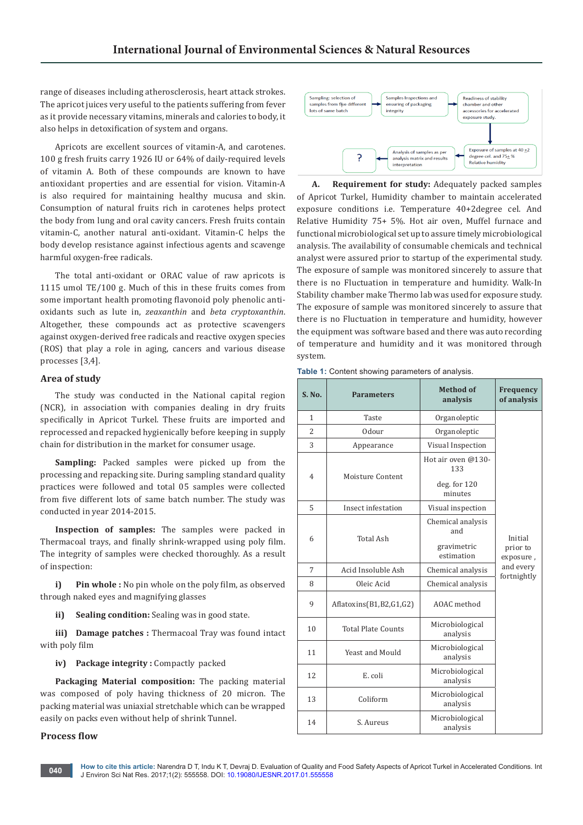range of diseases including atherosclerosis, heart attack strokes. The apricot juices very useful to the patients suffering from fever as it provide necessary vitamins, minerals and calories to body, it also helps in detoxification of system and organs.

Apricots are excellent sources of vitamin-A, and carotenes. 100 g fresh fruits carry 1926 IU or 64% of daily-required levels of vitamin A. Both of these compounds are known to have antioxidant properties and are essential for vision. Vitamin-A is also required for maintaining healthy mucusa and skin. Consumption of natural fruits rich in carotenes helps protect the body from lung and oral cavity cancers. Fresh fruits contain vitamin-C, another natural anti-oxidant. Vitamin-C helps the body develop resistance against infectious agents and scavenge harmful oxygen-free radicals.

The total anti-oxidant or ORAC value of raw apricots is 1115 umol TE/100 g. Much of this in these fruits comes from some important health promoting flavonoid poly phenolic antioxidants such as lute in, *zeaxanthin* and *beta cryptoxanthin*. Altogether, these compounds act as protective scavengers against oxygen-derived free radicals and reactive oxygen species (ROS) that play a role in aging, cancers and various disease processes [3,4].

# **Area of study**

The study was conducted in the National capital region (NCR), in association with companies dealing in dry fruits specifically in Apricot Turkel. These fruits are imported and reprocessed and repacked hygienically before keeping in supply chain for distribution in the market for consumer usage.

**Sampling:** Packed samples were picked up from the processing and repacking site. During sampling standard quality practices were followed and total 05 samples were collected from five different lots of same batch number. The study was conducted in year 2014-2015.

**Inspection of samples:** The samples were packed in Thermacoal trays, and finally shrink-wrapped using poly film. The integrity of samples were checked thoroughly. As a result of inspection:

**i) Pin whole :** No pin whole on the poly film, as observed through naked eyes and magnifying glasses

**ii) Sealing condition:** Sealing was in good state.

**iii) Damage patches :** Thermacoal Tray was found intact with poly film

**iv) Package integrity :** Compactly packed

**Packaging Material composition:** The packing material was composed of poly having thickness of 20 micron. The packing material was uniaxial stretchable which can be wrapped easily on packs even without help of shrink Tunnel.

# **Process flow**



**A. Requirement for study:** Adequately packed samples of Apricot Turkel, Humidity chamber to maintain accelerated exposure conditions i.e. Temperature 40+2degree cel. And Relative Humidity 75+ 5%. Hot air oven, Muffel furnace and functional microbiological set up to assure timely microbiological analysis. The availability of consumable chemicals and technical analyst were assured prior to startup of the experimental study. The exposure of sample was monitored sincerely to assure that there is no Fluctuation in temperature and humidity. Walk-In Stability chamber make Thermo lab was used for exposure study. The exposure of sample was monitored sincerely to assure that there is no Fluctuation in temperature and humidity, however the equipment was software based and there was auto recording of temperature and humidity and it was monitored through system.

**Table 1:** Content showing parameters of analysis.

| S. No.         | <b>Method of</b><br><b>Parameters</b><br>analysis |                                                          | Frequency<br>of analysis         |
|----------------|---------------------------------------------------|----------------------------------------------------------|----------------------------------|
| 1              | Taste                                             | Organoleptic                                             |                                  |
| $\overline{2}$ | Odour                                             | Organoleptic                                             |                                  |
| 3              | Appearance                                        | Visual Inspection                                        |                                  |
| $\overline{4}$ | Moisture Content                                  | Hot air oven @130-<br>133<br>$deg.$ for $120$<br>minutes |                                  |
| 5              | Insect infestation                                | Visual inspection                                        |                                  |
| 6              | <b>Total Ash</b>                                  | Chemical analysis<br>and<br>gravimetric<br>estimation    | Initial<br>prior to<br>exposure, |
| 7              | Acid Insoluble Ash                                | Chemical analysis                                        | and every                        |
| 8              | Oleic Acid                                        | Chemical analysis                                        | fortnightly                      |
| 9              | Aflatoxins(B1,B2,G1,G2)                           | AOAC method                                              |                                  |
| 10             | <b>Total Plate Counts</b>                         | Microbiological<br>analysis                              |                                  |
| 11             | Yeast and Mould                                   | Microbiological<br>analysis                              |                                  |
| 12             | E. coli                                           | Microbiological<br>analysis                              |                                  |
| 13             | Coliform                                          | Microbiological<br>analysis                              |                                  |
| 14             | S. Aureus                                         | Microbiological<br>analysis                              |                                  |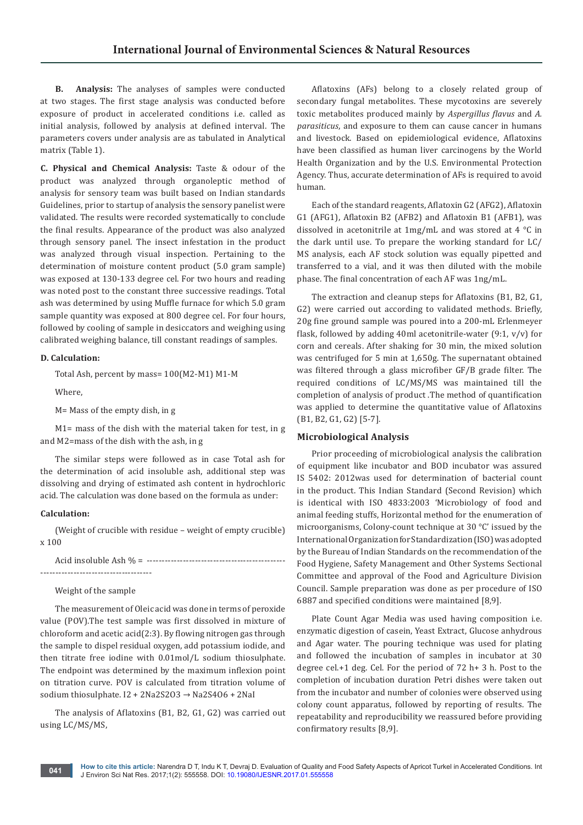**B. Analysis:** The analyses of samples were conducted at two stages. The first stage analysis was conducted before exposure of product in accelerated conditions i.e. called as initial analysis, followed by analysis at defined interval. The parameters covers under analysis are as tabulated in Analytical matrix (Table 1).

**C. Physical and Chemical Analysis:** Taste & odour of the product was analyzed through organoleptic method of analysis for sensory team was built based on Indian standards Guidelines, prior to startup of analysis the sensory panelist were validated. The results were recorded systematically to conclude the final results. Appearance of the product was also analyzed through sensory panel. The insect infestation in the product was analyzed through visual inspection. Pertaining to the determination of moisture content product (5.0 gram sample) was exposed at 130-133 degree cel. For two hours and reading was noted post to the constant three successive readings. Total ash was determined by using Muffle furnace for which 5.0 gram sample quantity was exposed at 800 degree cel. For four hours, followed by cooling of sample in desiccators and weighing using calibrated weighing balance, till constant readings of samples.

# **D. Calculation:**

Total Ash, percent by mass= 100(M2-M1) M1-M

Where,

M= Mass of the empty dish, in g

M1= mass of the dish with the material taken for test, in g and M2=mass of the dish with the ash, in g

The similar steps were followed as in case Total ash for the determination of acid insoluble ash, additional step was dissolving and drying of estimated ash content in hydrochloric acid. The calculation was done based on the formula as under:

#### **Calculation:**

(Weight of crucible with residue – weight of empty crucible) x 100

Weight of the sample

The measurement of Oleic acid was done in terms of peroxide value (POV).The test sample was first dissolved in mixture of chloroform and acetic acid(2:3). By flowing nitrogen gas through the sample to dispel residual oxygen, add potassium iodide, and then titrate free iodine with 0.01mol/L sodium thiosulphate. The endpoint was determined by the maximum inflexion point on titration curve. POV is calculated from titration volume of sodium thiosulphate. I2 + 2Na2S2O3 → Na2S4O6 + 2NaI

The analysis of Aflatoxins (B1, B2, G1, G2) was carried out using LC/MS/MS,

Aflatoxins (AFs) belong to a closely related group of secondary fungal metabolites. These mycotoxins are severely toxic metabolites produced mainly by *Aspergillus flavus* and *A. parasiticus*, and exposure to them can cause cancer in humans and livestock. Based on epidemiological evidence, Aflatoxins have been classified as human liver carcinogens by the World Health Organization and by the U.S. Environmental Protection Agency. Thus, accurate determination of AFs is required to avoid human.

Each of the standard reagents, Aflatoxin G2 (AFG2), Aflatoxin G1 (AFG1), Aflatoxin B2 (AFB2) and Aflatoxin B1 (AFB1), was dissolved in acetonitrile at 1mg/mL and was stored at 4 °C in the dark until use. To prepare the working standard for LC/ MS analysis, each AF stock solution was equally pipetted and transferred to a vial, and it was then diluted with the mobile phase. The final concentration of each AF was 1ng/mL.

The extraction and cleanup steps for Aflatoxins (B1, B2, G1, G2) were carried out according to validated methods. Briefly, 20g fine ground sample was poured into a 200-mL Erlenmeyer flask, followed by adding 40ml acetonitrile-water  $(9:1, v/v)$  for corn and cereals. After shaking for 30 min, the mixed solution was centrifuged for 5 min at 1,650g. The supernatant obtained was filtered through a glass microfiber GF/B grade filter. The required conditions of LC/MS/MS was maintained till the completion of analysis of product .The method of quantification was applied to determine the quantitative value of Aflatoxins (B1, B2, G1, G2) [5-7].

#### **Microbiological Analysis**

Prior proceeding of microbiological analysis the calibration of equipment like incubator and BOD incubator was assured IS 5402: 2012was used for determination of bacterial count in the product. This Indian Standard (Second Revision) which is identical with ISO 4833:2003 'Microbiology of food and animal feeding stuffs, Horizontal method for the enumeration of microorganisms, Colony-count technique at 30 °C' issued by the International Organization for Standardization (ISO) was adopted by the Bureau of Indian Standards on the recommendation of the Food Hygiene, Safety Management and Other Systems Sectional Committee and approval of the Food and Agriculture Division Council. Sample preparation was done as per procedure of ISO 6887 and specified conditions were maintained [8,9].

Plate Count Agar Media was used having composition i.e. enzymatic digestion of casein, Yeast Extract, Glucose anhydrous and Agar water. The pouring technique was used for plating and followed the incubation of samples in incubator at 30 degree cel.+1 deg. Cel. For the period of 72 h+ 3 h. Post to the completion of incubation duration Petri dishes were taken out from the incubator and number of colonies were observed using colony count apparatus, followed by reporting of results. The repeatability and reproducibility we reassured before providing confirmatory results [8,9].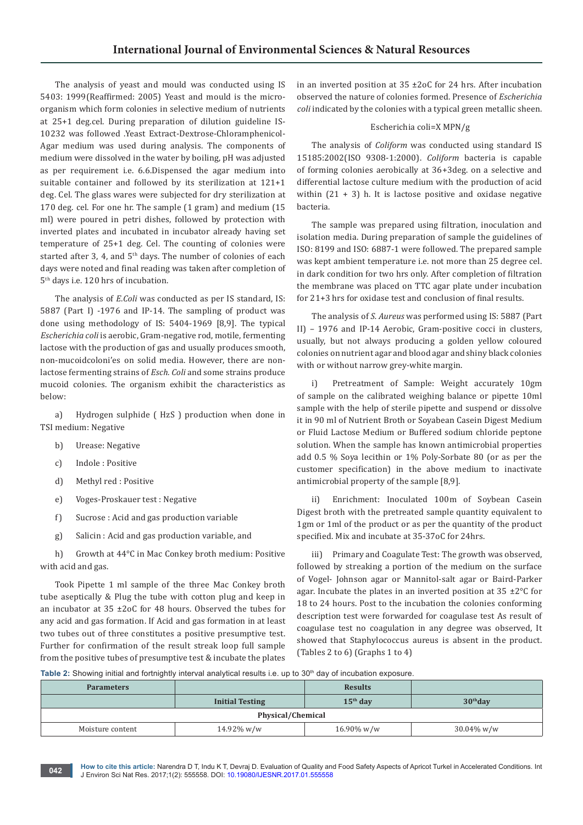The analysis of yeast and mould was conducted using IS 5403: 1999(Reaffirmed: 2005) Yeast and mould is the microorganism which form colonies in selective medium of nutrients at 25+1 deg.cel. During preparation of dilution guideline IS-10232 was followed .Yeast Extract-Dextrose-Chloramphenicol-Agar medium was used during analysis. The components of medium were dissolved in the water by boiling, pH was adjusted as per requirement i.e. 6.6.Dispensed the agar medium into suitable container and followed by its sterilization at 121+1 deg. Cel. The glass wares were subjected for dry sterilization at 170 deg. cel. For one hr. The sample (1 gram) and medium (15 ml) were poured in petri dishes, followed by protection with inverted plates and incubated in incubator already having set temperature of 25+1 deg. Cel. The counting of colonies were started after 3, 4, and  $5<sup>th</sup>$  days. The number of colonies of each days were noted and final reading was taken after completion of 5th days i.e. 120 hrs of incubation.

The analysis of *E.Coli* was conducted as per IS standard, IS: 5887 (Part I) -1976 and IP-14. The sampling of product was done using methodology of IS: 5404-1969 [8,9]. The typical *Escherichia coli* is aerobic, Gram-negative rod, motile, fermenting lactose with the production of gas and usually produces smooth, non-mucoidcoloni'es on solid media. However, there are nonlactose fermenting strains of *Esch. Coli* and some strains produce mucoid colonies. The organism exhibit the characteristics as below:

a) Hydrogen sulphide ( HzS ) production when done in TSI medium: Negative

- b) Urease: Negative
- c) Indole : Positive
- d) Methyl red : Positive
- e) Voges-Proskauer test : Negative
- f) Sucrose : Acid and gas production variable
- g) Salicin : Acid and gas production variable, and

h) Growth at 44°C in Mac Conkey broth medium: Positive with acid and gas.

Took Pipette 1 ml sample of the three Mac Conkey broth tube aseptically & Plug the tube with cotton plug and keep in an incubator at 35 ±2oC for 48 hours. Observed the tubes for any acid and gas formation. If Acid and gas formation in at least two tubes out of three constitutes a positive presumptive test. Further for confirmation of the result streak loop full sample from the positive tubes of presumptive test & incubate the plates

in an inverted position at 35 ±2oC for 24 hrs. After incubation observed the nature of colonies formed. Presence of *Escherichia coli* indicated by the colonies with a typical green metallic sheen.

# Escherichia coli=X MPN/g

The analysis of *Coliform* was conducted using standard IS 15185:2002(ISO 9308-1:2000). *Coliform* bacteria is capable of forming colonies aerobically at 36+3deg. on a selective and differential lactose culture medium with the production of acid within  $(21 + 3)$  h. It is lactose positive and oxidase negative bacteria.

The sample was prepared using filtration, inoculation and isolation media. During preparation of sample the guidelines of ISO: 8199 and ISO: 6887-1 were followed. The prepared sample was kept ambient temperature i.e. not more than 25 degree cel. in dark condition for two hrs only. After completion of filtration the membrane was placed on TTC agar plate under incubation for 21+3 hrs for oxidase test and conclusion of final results.

The analysis of *S. Aureus* was performed using IS: 5887 (Part II) – 1976 and IP-14 Aerobic, Gram-positive cocci in clusters, usually, but not always producing a golden yellow coloured colonies on nutrient agar and blood agar and shiny black colonies with or without narrow grey-white margin.

i) Pretreatment of Sample: Weight accurately 10gm of sample on the calibrated weighing balance or pipette 10ml sample with the help of sterile pipette and suspend or dissolve it in 90 ml of Nutrient Broth or Soyabean Casein Digest Medium or Fluid Lactose Medium or Buffered sodium chloride peptone solution. When the sample has known antimicrobial properties add 0.5 % Soya lecithin or 1% Poly-Sorbate 80 (or as per the customer specification) in the above medium to inactivate antimicrobial property of the sample [8,9].

Enrichment: Inoculated 100m of Soybean Casein Digest broth with the pretreated sample quantity equivalent to 1gm or 1ml of the product or as per the quantity of the product specified. Mix and incubate at 35-37oC for 24hrs.

iii) Primary and Coagulate Test: The growth was observed, followed by streaking a portion of the medium on the surface of Vogel- Johnson agar or Mannitol-salt agar or Baird-Parker agar. Incubate the plates in an inverted position at  $35 \pm 2^{\circ}$ C for 18 to 24 hours. Post to the incubation the colonies conforming description test were forwarded for coagulase test As result of coagulase test no coagulation in any degree was observed, It showed that Staphylococcus aureus is absent in the product. (Tables 2 to 6) (Graphs 1 to 4)

**Table 2:** Showing initial and fortnightly interval analytical results i.e. up to 30<sup>th</sup> day of incubation exposure.

| <b>Parameters</b>      |            | <b>Results</b> |               |  |  |
|------------------------|------------|----------------|---------------|--|--|
| <b>Initial Testing</b> |            | $15th$ day     | $30th$ dav    |  |  |
| Physical/Chemical      |            |                |               |  |  |
| Moisture content       | 14.92% w/w | 16.90% w/w     | $30.04\%$ w/w |  |  |

**How to cite this article:** Narendra D T, Indu K T, Devraj D. Evaluation of Quality and Food Safety Aspects of Apricot Turkel in Accelerated Conditions. Int J Environ Sci Nat Res. 2017;1(2): 555558. DOI: [10.19080/IJESNR.2017.01.555558](http://dx.doi.org/10.19080/IJESNR.2017.01.555558
) **<sup>042</sup>**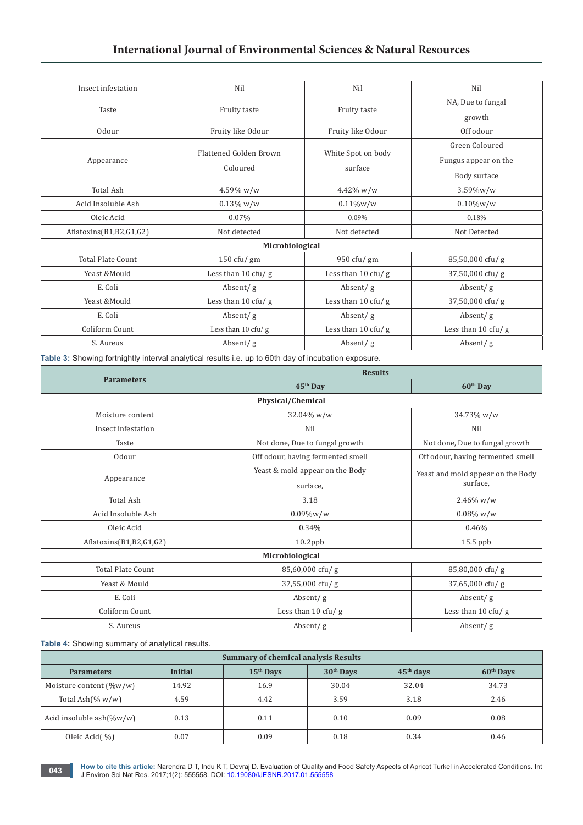# **International Journal of Environmental Sciences & Natural Resources**

| Insect infestation       | Nil                           | Nil                          | Nil                   |
|--------------------------|-------------------------------|------------------------------|-----------------------|
| Taste                    |                               |                              | NA, Due to fungal     |
|                          | Fruity taste                  | Fruity taste                 | growth                |
| Odour                    | Fruity like Odour             | Fruity like Odour            | Off odour             |
|                          | <b>Flattened Golden Brown</b> | White Spot on body           | Green Coloured        |
| Appearance               |                               |                              | Fungus appear on the  |
|                          | Coloured                      | surface                      | Body surface          |
| <b>Total Ash</b>         | 4.59% w/w                     | $4.42\%$ w/w                 | $3.59\%$ w/w          |
| Acid Insoluble Ash       | $0.13\%$ w/w                  | $0.11\%$ w/w                 | $0.10\%$ w/w          |
| Oleic Acid               | 0.07%                         | 0.09%                        | 0.18%                 |
| Aflatoxins(B1,B2,G1,G2)  | Not detected                  | Not detected                 | Not Detected          |
|                          | Microbiological               |                              |                       |
| <b>Total Plate Count</b> | $150 \text{ cft}$ / gm        | 950 cfu/ gm                  | 85,50,000 cfu/g       |
| Yeast & Mould            | Less than 10 cfu/g            | Less than $10 \text{ cfu}$ g | 37,50,000 cfu/g       |
| E. Coli                  | Absent/g                      | Absent/g                     | Absent/g              |
| Yeast & Mould            | Less than $10 \text{ cfu}$ g  | Less than $10 \text{ cfu}$ g | 37,50,000 cfu/g       |
| E. Coli                  | Absent/g                      | Absent/g                     | Absent/g              |
| Coliform Count           | Less than 10 cfu/ g           | Less than $10 \text{ cfu}$ g | Less than 10 cfu/ $g$ |
| S. Aureus                | Absent/g                      | Absent/g                     | Absent/g              |

**Table 3:** Showing fortnightly interval analytical results i.e. up to 60th day of incubation exposure.

| <b>Parameters</b>        | <b>Results</b>                    |                                   |  |  |  |
|--------------------------|-----------------------------------|-----------------------------------|--|--|--|
|                          | 45 <sup>th</sup> Day              | 60 <sup>th</sup> Day              |  |  |  |
| Physical/Chemical        |                                   |                                   |  |  |  |
| Moisture content         | 32.04% w/w                        | 34.73% w/w                        |  |  |  |
| Insect infestation       | Nil                               | Nil                               |  |  |  |
| Taste                    | Not done, Due to fungal growth    | Not done, Due to fungal growth    |  |  |  |
| 0dour                    | Off odour, having fermented smell | Off odour, having fermented smell |  |  |  |
|                          | Yeast & mold appear on the Body   | Yeast and mold appear on the Body |  |  |  |
| Appearance               | surface,                          | surface,                          |  |  |  |
| <b>Total Ash</b>         | 3.18                              | $2.46\%$ w/w                      |  |  |  |
| Acid Insoluble Ash       | $0.09\%$ w/w                      | $0.08\%$ w/w                      |  |  |  |
| Oleic Acid<br>0.34%      |                                   | 0.46%                             |  |  |  |
| Aflatoxins(B1,B2,G1,G2)  | $10.2$ ppb                        | 15.5 ppb                          |  |  |  |
| Microbiological          |                                   |                                   |  |  |  |
| <b>Total Plate Count</b> | 85,60,000 cfu/g                   | 85,80,000 cfu/g                   |  |  |  |
| Yeast & Mould            | 37,55,000 cfu/g                   |                                   |  |  |  |
| E. Coli                  | Absent/g                          | Absent/g                          |  |  |  |
| Coliform Count           | Less than 10 cfu/g                | Less than 10 cfu/g                |  |  |  |
| S. Aureus                | Absent/g                          | Absent/g                          |  |  |  |

**Table 4:** Showing summary of analytical results.

| <b>Summary of chemical analysis Results</b> |         |             |             |             |                       |
|---------------------------------------------|---------|-------------|-------------|-------------|-----------------------|
| <b>Parameters</b>                           | Initial | $15th$ Days | $30th$ Days | $45th$ days | 60 <sup>th</sup> Days |
| Moisture content $(\%w/w)$                  | 14.92   | 16.9        | 30.04       | 32.04       | 34.73                 |
| Total Ash $(\% w/w)$                        | 4.59    | 4.42        | 3.59        | 3.18        | 2.46                  |
| Acid insoluble $ash(\%w/w)$                 | 0.13    | 0.11        | 0.10        | 0.09        | 0.08                  |
| Oleic Acid(%)                               | 0.07    | 0.09        | 0.18        | 0.34        | 0.46                  |

**How to cite this article:** Narendra D T, Indu K T, Devraj D. Evaluation of Quality and Food Safety Aspects of Apricot Turkel in Accelerated Conditions. Int J Environ Sci Nat Res. 2017;1(2): 555558. DOI: [10.19080/IJESNR.2017.01.555558](http://dx.doi.org/10.19080/IJESNR.2017.01.555558
) **<sup>043</sup>**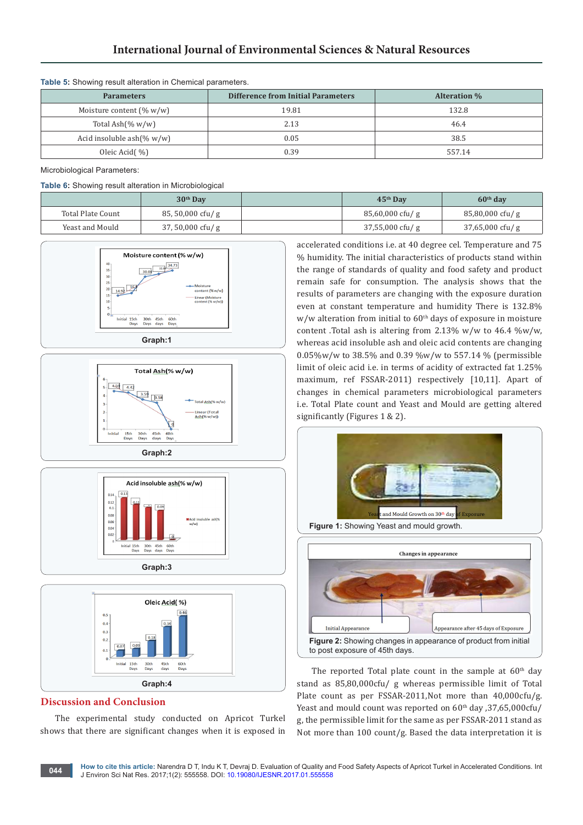| <b>Table U.</b> Onowing result alteration in Onemical parameters. |                                           |        |  |  |
|-------------------------------------------------------------------|-------------------------------------------|--------|--|--|
| <b>Parameters</b>                                                 | <b>Difference from Initial Parameters</b> |        |  |  |
| Moisture content $(\% w/w)$                                       | 19.81                                     | 132.8  |  |  |
| Total Ash $(\% w/w)$                                              | 2.13                                      | 46.4   |  |  |
| Acid insoluble ash $(\% w/w)$                                     | 0.05                                      | 38.5   |  |  |
| Oleic Acid(%)                                                     | 0.39                                      | 557.14 |  |  |

# **Table 5:** Showing result alteration in Chemical parameters.

Microbiological Parameters:

#### **Table 6:** Showing result alteration in Microbiological

|                   | $30th$ Day         | $45th$ Dav         | $60th$ day         |
|-------------------|--------------------|--------------------|--------------------|
| Total Plate Count | $85, 50,000$ cfu/g | $85,60,000$ cfu/ g | $85,80,000$ cfu/g  |
| Yeast and Mould   | $37,50,000$ cfu/ g | $37,55,000$ cfu/ g | $37,65,000$ cfu/ g |









# **Discussion and Conclusion**

The experimental study conducted on Apricot Turkel shows that there are significant changes when it is exposed in accelerated conditions i.e. at 40 degree cel. Temperature and 75 % humidity. The initial characteristics of products stand within the range of standards of quality and food safety and product remain safe for consumption. The analysis shows that the results of parameters are changing with the exposure duration even at constant temperature and humidity There is 132.8%  $w/w$  alteration from initial to  $60<sup>th</sup>$  days of exposure in moisture content .Total ash is altering from 2.13% w/w to 46.4 %w/w, whereas acid insoluble ash and oleic acid contents are changing 0.05%w/w to 38.5% and 0.39 %w/w to 557.14 % (permissible limit of oleic acid i.e. in terms of acidity of extracted fat 1.25% maximum, ref FSSAR-2011) respectively [10,11]. Apart of changes in chemical parameters microbiological parameters i.e. Total Plate count and Yeast and Mould are getting altered significantly (Figures 1 & 2).





The reported Total plate count in the sample at  $60<sup>th</sup>$  day stand as 85,80,000cfu/ g whereas permissible limit of Total Plate count as per FSSAR-2011,Not more than 40,000cfu/g. Yeast and mould count was reported on 60<sup>th</sup> day , 37,65,000cfu/ g, the permissible limit for the same as per FSSAR-2011 stand as Not more than 100 count/g. Based the data interpretation it is